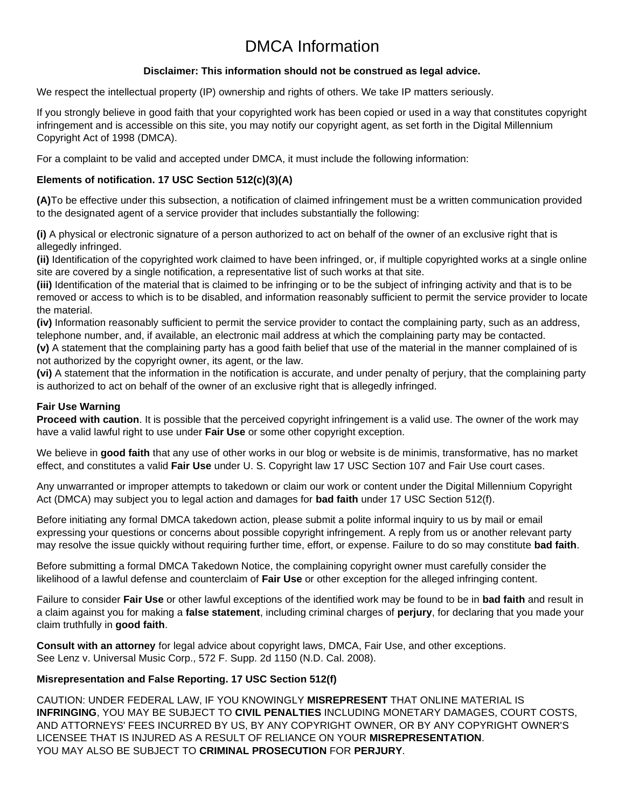# DMCA Information

#### **Disclaimer: This information should not be construed as legal advice.**

We respect the intellectual property (IP) ownership and rights of others. We take IP matters seriously.

If you strongly believe in good faith that your copyrighted work has been copied or used in a way that constitutes copyright infringement and is accessible on this site, you may notify our copyright agent, as set forth in the Digital Millennium Copyright Act of 1998 (DMCA).

For a complaint to be valid and accepted under DMCA, it must include the following information:

#### **Elements of notification. 17 USC Section 512(c)(3)(A)**

**(A)**To be effective under this subsection, a notification of claimed infringement must be a written communication provided to the designated agent of a service provider that includes substantially the following:

**(i)** A physical or electronic signature of a person authorized to act on behalf of the owner of an exclusive right that is allegedly infringed.

**(ii)** Identification of the copyrighted work claimed to have been infringed, or, if multiple copyrighted works at a single online site are covered by a single notification, a representative list of such works at that site.

**(iii)** Identification of the material that is claimed to be infringing or to be the subject of infringing activity and that is to be removed or access to which is to be disabled, and information reasonably sufficient to permit the service provider to locate the material.

**(iv)** Information reasonably sufficient to permit the service provider to contact the complaining party, such as an address, telephone number, and, if available, an electronic mail address at which the complaining party may be contacted.

**(v)** A statement that the complaining party has a good faith belief that use of the material in the manner complained of is not authorized by the copyright owner, its agent, or the law.

**(vi)** A statement that the information in the notification is accurate, and under penalty of perjury, that the complaining party is authorized to act on behalf of the owner of an exclusive right that is allegedly infringed.

#### **Fair Use Warning**

**Proceed with caution**. It is possible that the perceived copyright infringement is a valid use. The owner of the work may have a valid lawful right to use under **Fair Use** or some other copyright exception.

We believe in good faith that any use of other works in our blog or website is de minimis, transformative, has no market effect, and constitutes a valid **Fair Use** under U. S. Copyright law 17 USC Section 107 and Fair Use court cases.

Any unwarranted or improper attempts to takedown or claim our work or content under the Digital Millennium Copyright Act (DMCA) may subject you to legal action and damages for **bad faith** under 17 USC Section 512(f).

Before initiating any formal DMCA takedown action, please submit a polite informal inquiry to us by mail or email expressing your questions or concerns about possible copyright infringement. A reply from us or another relevant party may resolve the issue quickly without requiring further time, effort, or expense. Failure to do so may constitute **bad faith**.

Before submitting a formal DMCA Takedown Notice, the complaining copyright owner must carefully consider the likelihood of a lawful defense and counterclaim of **Fair Use** or other exception for the alleged infringing content.

Failure to consider **Fair Use** or other lawful exceptions of the identified work may be found to be in **bad faith** and result in a claim against you for making a **false statement**, including criminal charges of **perjury**, for declaring that you made your claim truthfully in **good faith**.

**Consult with an attorney** for legal advice about copyright laws, DMCA, Fair Use, and other exceptions. See Lenz v. Universal Music Corp., 572 F. Supp. 2d 1150 (N.D. Cal. 2008).

#### **Misrepresentation and False Reporting. 17 USC Section 512(f)**

CAUTION: UNDER FEDERAL LAW, IF YOU KNOWINGLY **MISREPRESENT** THAT ONLINE MATERIAL IS **INFRINGING**, YOU MAY BE SUBJECT TO **CIVIL PENALTIES** INCLUDING MONETARY DAMAGES, COURT COSTS, AND ATTORNEYS' FEES INCURRED BY US, BY ANY COPYRIGHT OWNER, OR BY ANY COPYRIGHT OWNER'S LICENSEE THAT IS INJURED AS A RESULT OF RELIANCE ON YOUR **MISREPRESENTATION**. YOU MAY ALSO BE SUBJECT TO **CRIMINAL PROSECUTION** FOR **PERJURY**.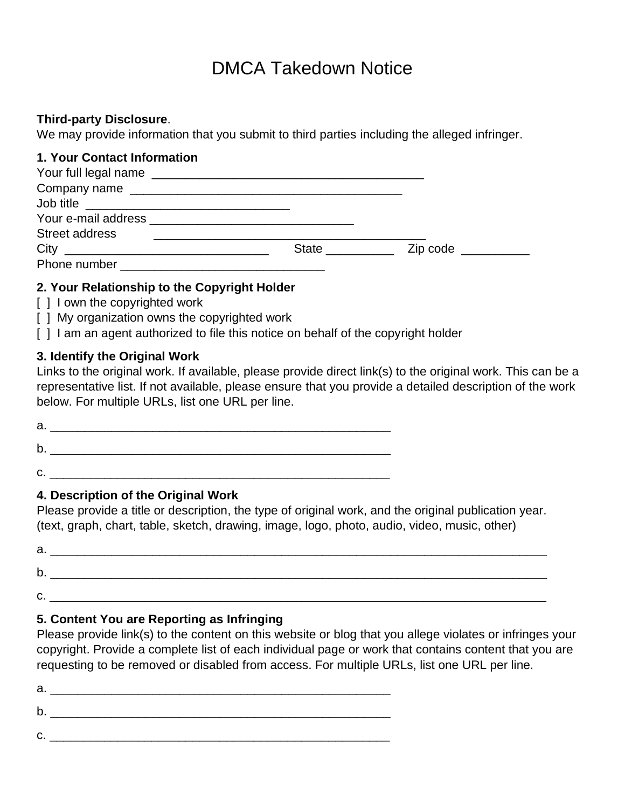# DMCA Takedown Notice

### **Third-party Disclosure**.

We may provide information that you submit to third parties including the alleged infringer.

## **1. Your Contact Information**

| <b>Street address</b> |                   |                     |
|-----------------------|-------------------|---------------------|
|                       | State ___________ | Zip code __________ |
| Phone number          |                   |                     |

# **2. Your Relationship to the Copyright Holder**

- [] I own the copyrighted work
- [ ] My organization owns the copyrighted work
- [ ] I am an agent authorized to file this notice on behalf of the copyright holder

# **3. Identify the Original Work**

Links to the original work. If available, please provide direct link(s) to the original work. This can be a representative list. If not available, please ensure that you provide a detailed description of the work below. For multiple URLs, list one URL per line.

 $a.$ 

 $b.$ 

 $C.$ 

# **4. Description of the Original Work**

Please provide a title or description, the type of original work, and the original publication year. (text, graph, chart, table, sketch, drawing, image, logo, photo, audio, video, music, other)

| а      |  |
|--------|--|
| ю<br>ັ |  |
| ັ      |  |

# **5. Content You are Reporting as Infringing**

Please provide link(s) to the content on this website or blog that you allege violates or infringes your copyright. Provide a complete list of each individual page or work that contains content that you are requesting to be removed or disabled from access. For multiple URLs, list one URL per line.

 $a.$  $b.$ c. \_\_\_\_\_\_\_\_\_\_\_\_\_\_\_\_\_\_\_\_\_\_\_\_\_\_\_\_\_\_\_\_\_\_\_\_\_\_\_\_\_\_\_\_\_\_\_\_\_\_